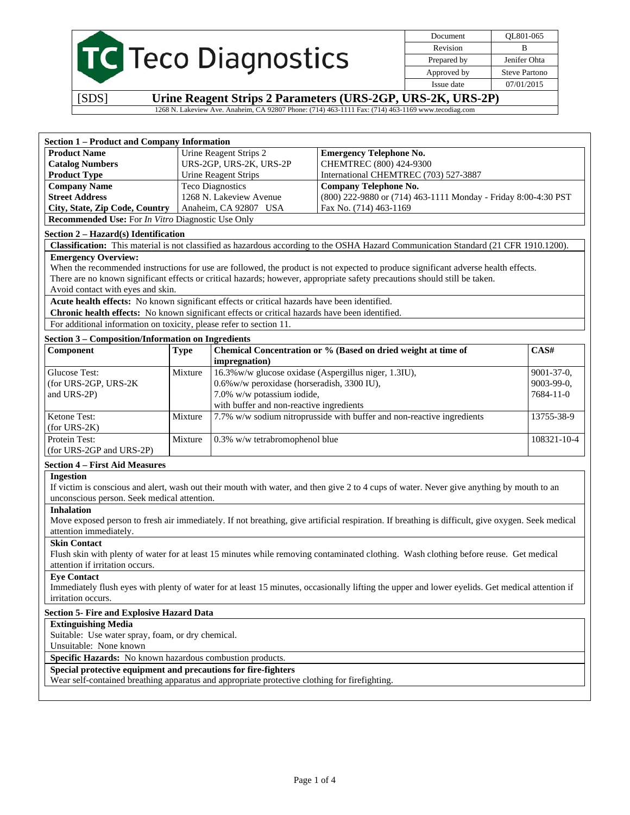|  | <b>TC</b> Teco Diagnostics |
|--|----------------------------|
|  |                            |

Document QL801-065 Revision B Prepared by **Jenifer Ohta** Approved by Steve Partono Issue date 07/01/2015

[SDS] **Urine Reagent Strips 2 Parameters (URS-2GP, URS-2K, URS-2P)** 

1268 N. Lakeview Ave. Anaheim, CA 92807 Phone: (714) 463-1111 Fax: (714) 463-1169 www.tecodiag.com

| <b>Section 1 – Product and Company Information</b>              |                         |                                                                |  |  |  |
|-----------------------------------------------------------------|-------------------------|----------------------------------------------------------------|--|--|--|
| <b>Product Name</b>                                             | Urine Reagent Strips 2  | <b>Emergency Telephone No.</b>                                 |  |  |  |
| <b>Catalog Numbers</b>                                          | URS-2GP, URS-2K, URS-2P | CHEMTREC (800) 424-9300                                        |  |  |  |
| <b>Product Type</b>                                             | Urine Reagent Strips    | International CHEMTREC (703) 527-3887                          |  |  |  |
| <b>Company Name</b>                                             | <b>Teco Diagnostics</b> | <b>Company Telephone No.</b>                                   |  |  |  |
| <b>Street Address</b>                                           | 1268 N. Lakeview Avenue | (800) 222-9880 or (714) 463-1111 Monday - Friday 8:00-4:30 PST |  |  |  |
| City, State, Zip Code, Country                                  | Anaheim, CA 92807 USA   | Fax No. (714) 463-1169                                         |  |  |  |
| <b>Recommended Use:</b> For <i>In Vitro</i> Diagnostic Use Only |                         |                                                                |  |  |  |

#### **Section 2 – Hazard(s) Identification**

**Classification:** This material is not classified as hazardous according to the OSHA Hazard Communication Standard (21 CFR 1910.1200).

#### **Emergency Overview:**

When the recommended instructions for use are followed, the product is not expected to produce significant adverse health effects. There are no known significant effects or critical hazards; however, appropriate safety precautions should still be taken. Avoid contact with eyes and skin.

**Acute health effects:** No known significant effects or critical hazards have been identified.

**Chronic health effects:** No known significant effects or critical hazards have been identified.

For additional information on toxicity, please refer to section 11.

| Section 3 – Composition/Information on Ingredients |             |                                                                        |                   |  |
|----------------------------------------------------|-------------|------------------------------------------------------------------------|-------------------|--|
| Component                                          | <b>Type</b> | Chemical Concentration or % (Based on dried weight at time of          | CAS#              |  |
|                                                    |             | <i>impregnation</i> )                                                  |                   |  |
| Glucose Test:                                      | Mixture     | 16.3% w/w glucose oxidase (Aspergillus niger, 1.3IU),                  | $9001 - 37 - 0$ , |  |
| (for URS-2GP, URS-2K)                              |             | 0.6% w/w peroxidase (horseradish, 3300 IU),                            | $9003 - 99 - 0$ , |  |
| and URS-2P)                                        |             | 7.0% w/w potassium iodide,                                             | $7684 - 11 - 0$   |  |
|                                                    |             | with buffer and non-reactive ingredients                               |                   |  |
| <b>Ketone Test:</b>                                | Mixture     | 7.7% w/w sodium nitroprusside with buffer and non-reactive ingredients | 13755-38-9        |  |
| $(for URS-2K)$                                     |             |                                                                        |                   |  |
| Protein Test:                                      | Mixture     | $0.3\%$ w/w tetrabromophenol blue                                      | 108321-10-4       |  |
| (for URS-2GP and URS-2P)                           |             |                                                                        |                   |  |

#### **Section 4 – First Aid Measures**

#### **Ingestion**

If victim is conscious and alert, wash out their mouth with water, and then give 2 to 4 cups of water. Never give anything by mouth to an unconscious person. Seek medical attention.

#### **Inhalation**

Move exposed person to fresh air immediately. If not breathing, give artificial respiration. If breathing is difficult, give oxygen. Seek medical attention immediately.

#### **Skin Contact**

Flush skin with plenty of water for at least 15 minutes while removing contaminated clothing. Wash clothing before reuse. Get medical attention if irritation occurs.

#### **Eye Contact**

Immediately flush eyes with plenty of water for at least 15 minutes, occasionally lifting the upper and lower eyelids. Get medical attention if irritation occurs.

#### **Section 5- Fire and Explosive Hazard Data**

#### **Extinguishing Media**

Suitable: Use water spray, foam, or dry chemical.

Unsuitable: None known

**Specific Hazards:** No known hazardous combustion products.

#### **Special protective equipment and precautions for fire-fighters**

Wear self-contained breathing apparatus and appropriate protective clothing for firefighting.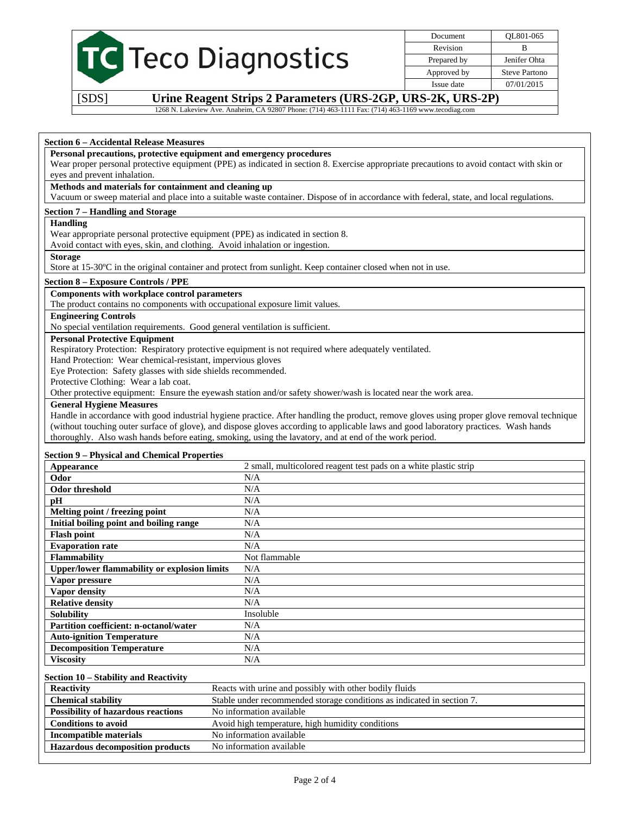|  | <b>C</b> Teco Diagnostics |
|--|---------------------------|
|  |                           |

Document QL801-065 Revision B Prepared by **Jenifer Ohta** Approved by Steve Partono Issue date 07/01/2015

[SDS] **Urine Reagent Strips 2 Parameters (URS-2GP, URS-2K, URS-2P)** 

1268 N. Lakeview Ave. Anaheim, CA 92807 Phone: (714) 463-1111 Fax: (714) 463-1169 www.tecodiag.com

### **Section 6 – Accidental Release Measures**

#### **Personal precautions, protective equipment and emergency procedures**

Wear proper personal protective equipment (PPE) as indicated in section 8. Exercise appropriate precautions to avoid contact with skin or eyes and prevent inhalation.

## **Methods and materials for containment and cleaning up**

Vacuum or sweep material and place into a suitable waste container. Dispose of in accordance with federal, state, and local regulations.

## **Section 7 – Handling and Storage**

#### **Handling**

Wear appropriate personal protective equipment (PPE) as indicated in section 8.

Avoid contact with eyes, skin, and clothing. Avoid inhalation or ingestion.

#### **Storage**

Store at 15-30ºC in the original container and protect from sunlight. Keep container closed when not in use.

## **Section 8 – Exposure Controls / PPE**

## **Components with workplace control parameters**

The product contains no components with occupational exposure limit values.

# **Engineering Controls**

No special ventilation requirements. Good general ventilation is sufficient.

## **Personal Protective Equipment**

Respiratory Protection: Respiratory protective equipment is not required where adequately ventilated.

Hand Protection: Wear chemical-resistant, impervious gloves

Eye Protection: Safety glasses with side shields recommended.

Protective Clothing: Wear a lab coat.

Other protective equipment: Ensure the eyewash station and/or safety shower/wash is located near the work area.

## **General Hygiene Measures**

Handle in accordance with good industrial hygiene practice. After handling the product, remove gloves using proper glove removal technique (without touching outer surface of glove), and dispose gloves according to applicable laws and good laboratory practices. Wash hands thoroughly. Also wash hands before eating, smoking, using the lavatory, and at end of the work period.

## **Section 9 – Physical and Chemical Properties**

| Appearance                                          | 2 small, multicolored reagent test pads on a white plastic strip |
|-----------------------------------------------------|------------------------------------------------------------------|
| Odor                                                | N/A                                                              |
| Odor threshold                                      | N/A                                                              |
| pН                                                  | N/A                                                              |
| Melting point / freezing point                      | N/A                                                              |
| Initial boiling point and boiling range             | N/A                                                              |
| <b>Flash point</b>                                  | N/A                                                              |
| <b>Evaporation rate</b>                             | N/A                                                              |
| <b>Flammability</b>                                 | Not flammable                                                    |
| <b>Upper/lower flammability or explosion limits</b> | N/A                                                              |
| Vapor pressure                                      | N/A                                                              |
| Vapor density                                       | N/A                                                              |
| <b>Relative density</b>                             | N/A                                                              |
| <b>Solubility</b>                                   | Insoluble                                                        |
| Partition coefficient: n-octanol/water              | N/A                                                              |
| <b>Auto-ignition Temperature</b>                    | N/A                                                              |
| <b>Decomposition Temperature</b>                    | N/A                                                              |
| <b>Viscosity</b>                                    | N/A                                                              |

## **Section 10 – Stability and Reactivity**

| <b>Reactivity</b>                         | Reacts with urine and possibly with other bodily fluids                |
|-------------------------------------------|------------------------------------------------------------------------|
| <b>Chemical stability</b>                 | Stable under recommended storage conditions as indicated in section 7. |
| <b>Possibility of hazardous reactions</b> | No information available                                               |
| <b>Conditions to avoid</b>                | Avoid high temperature, high humidity conditions                       |
| Incompatible materials                    | No information available                                               |
| <b>Hazardous decomposition products</b>   | No information available                                               |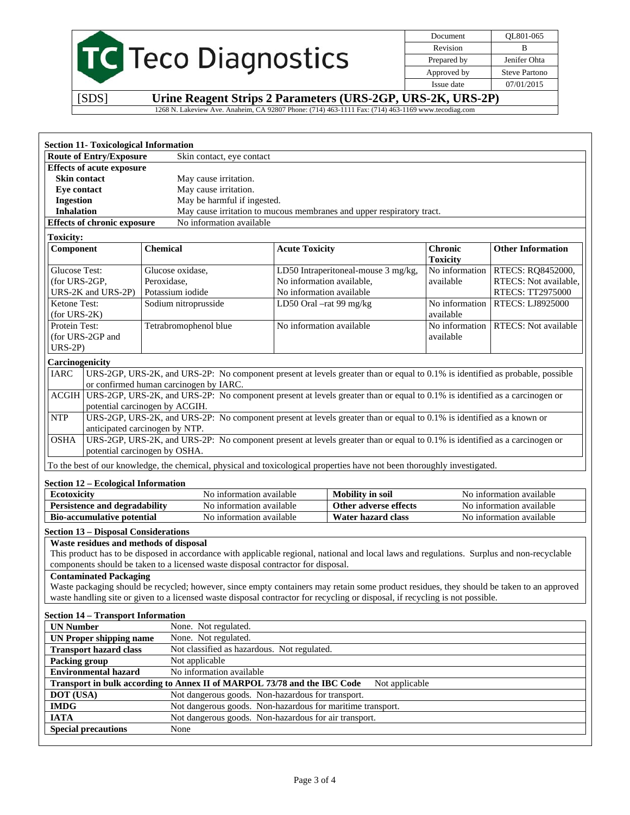# TC Teco Diagnostics

Document QL801-065 Revision B Prepared by Jenifer Ohta Approved by Steve Partono Issue date 07/01/2015

[SDS] **Urine Reagent Strips 2 Parameters (URS-2GP, URS-2K, URS-2P)** 

1268 N. Lakeview Ave. Anaheim, CA 92807 Phone: (714) 463-1111 Fax: (714) 463-1169 www.tecodiag.com

| <b>Section 11- Toxicological Information</b>                                                                                                                                                                                                                               |                                                                                                                                             |                           |                                                                       |                                   |                             |  |
|----------------------------------------------------------------------------------------------------------------------------------------------------------------------------------------------------------------------------------------------------------------------------|---------------------------------------------------------------------------------------------------------------------------------------------|---------------------------|-----------------------------------------------------------------------|-----------------------------------|-----------------------------|--|
| <b>Route of Entry/Exposure</b>                                                                                                                                                                                                                                             | Skin contact, eye contact                                                                                                                   |                           |                                                                       |                                   |                             |  |
| <b>Effects of acute exposure</b>                                                                                                                                                                                                                                           |                                                                                                                                             |                           |                                                                       |                                   |                             |  |
| <b>Skin contact</b><br>May cause irritation.                                                                                                                                                                                                                               |                                                                                                                                             |                           |                                                                       |                                   |                             |  |
| May cause irritation.<br><b>Eye contact</b>                                                                                                                                                                                                                                |                                                                                                                                             |                           |                                                                       |                                   |                             |  |
| <b>Ingestion</b>                                                                                                                                                                                                                                                           | May be harmful if ingested.                                                                                                                 |                           |                                                                       |                                   |                             |  |
| <b>Inhalation</b>                                                                                                                                                                                                                                                          |                                                                                                                                             |                           | May cause irritation to mucous membranes and upper respiratory tract. |                                   |                             |  |
| <b>Effects of chronic exposure</b>                                                                                                                                                                                                                                         | No information available                                                                                                                    |                           |                                                                       |                                   |                             |  |
| <b>Toxicity:</b>                                                                                                                                                                                                                                                           |                                                                                                                                             |                           |                                                                       |                                   |                             |  |
| Component                                                                                                                                                                                                                                                                  | <b>Chemical</b>                                                                                                                             | <b>Acute Toxicity</b>     |                                                                       | <b>Chronic</b><br><b>Toxicity</b> | <b>Other Information</b>    |  |
| <b>Glucose Test:</b>                                                                                                                                                                                                                                                       | Glucose oxidase,                                                                                                                            |                           | LD50 Intraperitoneal-mouse 3 mg/kg,                                   | No information                    | RTECS: RQ8452000,           |  |
| (for URS-2GP,                                                                                                                                                                                                                                                              | Peroxidase,                                                                                                                                 | No information available, |                                                                       | available                         | RTECS: Not available,       |  |
| URS-2K and URS-2P)                                                                                                                                                                                                                                                         | Potassium iodide                                                                                                                            | No information available  |                                                                       |                                   | RTECS: TT2975000            |  |
| Ketone Test:<br>$(for URS-2K)$                                                                                                                                                                                                                                             | Sodium nitroprusside                                                                                                                        | LD50 Oral -rat 99 mg/kg   |                                                                       | No information<br>available       | RTECS: LJ8925000            |  |
| Protein Test:<br>(for URS-2GP and                                                                                                                                                                                                                                          | Tetrabromophenol blue                                                                                                                       | No information available  |                                                                       | No information<br>available       | <b>RTECS:</b> Not available |  |
| $URS-2P$                                                                                                                                                                                                                                                                   |                                                                                                                                             |                           |                                                                       |                                   |                             |  |
| Carcinogenicity                                                                                                                                                                                                                                                            |                                                                                                                                             |                           |                                                                       |                                   |                             |  |
| <b>IARC</b>                                                                                                                                                                                                                                                                | URS-2GP, URS-2K, and URS-2P: No component present at levels greater than or equal to 0.1% is identified as probable, possible               |                           |                                                                       |                                   |                             |  |
|                                                                                                                                                                                                                                                                            | or confirmed human carcinogen by IARC.                                                                                                      |                           |                                                                       |                                   |                             |  |
| $\rm{ACGIH}$                                                                                                                                                                                                                                                               | URS-2GP, URS-2K, and URS-2P: No component present at levels greater than or equal to 0.1% is identified as a carcinogen or                  |                           |                                                                       |                                   |                             |  |
|                                                                                                                                                                                                                                                                            | potential carcinogen by ACGIH.                                                                                                              |                           |                                                                       |                                   |                             |  |
| <b>NTP</b>                                                                                                                                                                                                                                                                 | URS-2GP, URS-2K, and URS-2P: No component present at levels greater than or equal to 0.1% is identified as a known or                       |                           |                                                                       |                                   |                             |  |
|                                                                                                                                                                                                                                                                            | anticipated carcinogen by NTP.                                                                                                              |                           |                                                                       |                                   |                             |  |
| <b>OSHA</b>                                                                                                                                                                                                                                                                | URS-2GP, URS-2K, and URS-2P: No component present at levels greater than or equal to 0.1% is identified as a carcinogen or                  |                           |                                                                       |                                   |                             |  |
|                                                                                                                                                                                                                                                                            | potential carcinogen by OSHA.                                                                                                               |                           |                                                                       |                                   |                             |  |
|                                                                                                                                                                                                                                                                            | To the best of our knowledge, the chemical, physical and toxicological properties have not been thoroughly investigated.                    |                           |                                                                       |                                   |                             |  |
| <b>Section 12 – Ecological Information</b>                                                                                                                                                                                                                                 |                                                                                                                                             |                           |                                                                       |                                   |                             |  |
| <b>Ecotoxicity</b>                                                                                                                                                                                                                                                         | No information available                                                                                                                    |                           | <b>Mobility</b> in soil                                               |                                   | No information available    |  |
| <b>Persistence and degradability</b>                                                                                                                                                                                                                                       | No information available                                                                                                                    |                           | Other adverse effects                                                 |                                   | No information available    |  |
| <b>Bio-accumulative potential</b>                                                                                                                                                                                                                                          | No information available                                                                                                                    |                           | Water hazard class                                                    |                                   | No information available    |  |
| <b>Section 13 - Disposal Considerations</b>                                                                                                                                                                                                                                |                                                                                                                                             |                           |                                                                       |                                   |                             |  |
| Waste residues and methods of disposal                                                                                                                                                                                                                                     |                                                                                                                                             |                           |                                                                       |                                   |                             |  |
|                                                                                                                                                                                                                                                                            | This product has to be disposed in accordance with applicable regional, national and local laws and regulations. Surplus and non-recyclable |                           |                                                                       |                                   |                             |  |
|                                                                                                                                                                                                                                                                            | components should be taken to a licensed waste disposal contractor for disposal.                                                            |                           |                                                                       |                                   |                             |  |
| <b>Contaminated Packaging</b>                                                                                                                                                                                                                                              |                                                                                                                                             |                           |                                                                       |                                   |                             |  |
|                                                                                                                                                                                                                                                                            |                                                                                                                                             |                           |                                                                       |                                   |                             |  |
| Waste packaging should be recycled; however, since empty containers may retain some product residues, they should be taken to an approved<br>waste handling site or given to a licensed waste disposal contractor for recycling or disposal, if recycling is not possible. |                                                                                                                                             |                           |                                                                       |                                   |                             |  |
| <b>Section 14 - Transport Information</b>                                                                                                                                                                                                                                  |                                                                                                                                             |                           |                                                                       |                                   |                             |  |
| <b>UN</b> Number                                                                                                                                                                                                                                                           | None. Not regulated.                                                                                                                        |                           |                                                                       |                                   |                             |  |
| <b>UN Proper shipping name</b>                                                                                                                                                                                                                                             | None. Not regulated.                                                                                                                        |                           |                                                                       |                                   |                             |  |
| <b>Transport hazard class</b>                                                                                                                                                                                                                                              |                                                                                                                                             |                           |                                                                       |                                   |                             |  |
| <b>Packing group</b>                                                                                                                                                                                                                                                       | Not classified as hazardous. Not regulated.<br>Not applicable                                                                               |                           |                                                                       |                                   |                             |  |
| <b>Environmental hazard</b>                                                                                                                                                                                                                                                | No information available                                                                                                                    |                           |                                                                       |                                   |                             |  |
|                                                                                                                                                                                                                                                                            | Transport in bulk according to Annex II of MARPOL 73/78 and the IBC Code                                                                    |                           | Not applicable                                                        |                                   |                             |  |
| <b>DOT</b> (USA)                                                                                                                                                                                                                                                           | Not dangerous goods. Non-hazardous for transport.                                                                                           |                           |                                                                       |                                   |                             |  |
|                                                                                                                                                                                                                                                                            |                                                                                                                                             |                           |                                                                       |                                   |                             |  |
| <b>IMDG</b><br>Not dangerous goods. Non-hazardous for maritime transport.                                                                                                                                                                                                  |                                                                                                                                             |                           |                                                                       |                                   |                             |  |
| Not dangerous goods. Non-hazardous for air transport.<br><b>IATA</b><br><b>Special precautions</b>                                                                                                                                                                         |                                                                                                                                             |                           |                                                                       |                                   |                             |  |
|                                                                                                                                                                                                                                                                            | None                                                                                                                                        |                           |                                                                       |                                   |                             |  |